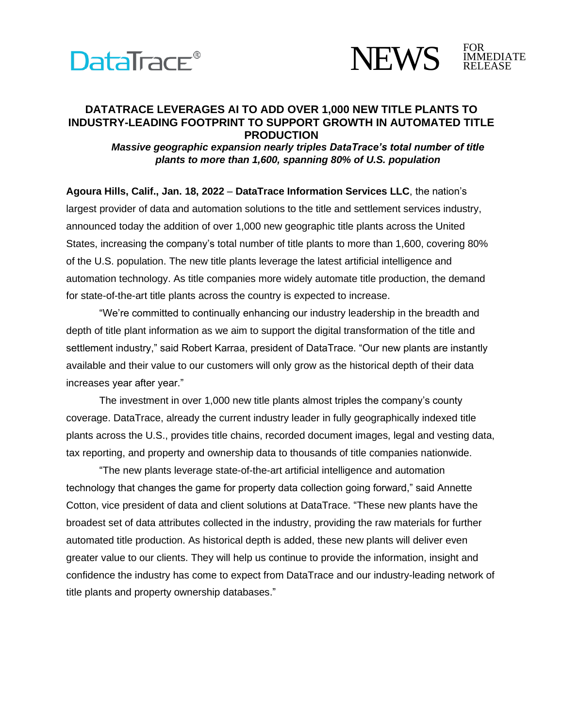



## **DATATRACE LEVERAGES AI TO ADD OVER 1,000 NEW TITLE PLANTS TO INDUSTRY-LEADING FOOTPRINT TO SUPPORT GROWTH IN AUTOMATED TITLE PRODUCTION**

*Massive geographic expansion nearly triples DataTrace's total number of title plants to more than 1,600, spanning 80% of U.S. population*

**Agoura Hills, Calif., Jan. 18, 2022** – **DataTrace Information Services LLC**, the nation's largest provider of data and automation solutions to the title and settlement services industry, announced today the addition of over 1,000 new geographic title plants across the United States, increasing the company's total number of title plants to more than 1,600, covering 80% of the U.S. population. The new title plants leverage the latest artificial intelligence and automation technology. As title companies more widely automate title production, the demand for state-of-the-art title plants across the country is expected to increase.

"We're committed to continually enhancing our industry leadership in the breadth and depth of title plant information as we aim to support the digital transformation of the title and settlement industry," said Robert Karraa, president of DataTrace. "Our new plants are instantly available and their value to our customers will only grow as the historical depth of their data increases year after year."

The investment in over 1,000 new title plants almost triples the company's county coverage. DataTrace, already the current industry leader in fully geographically indexed title plants across the U.S., provides title chains, recorded document images, legal and vesting data, tax reporting, and property and ownership data to thousands of title companies nationwide.

"The new plants leverage state-of-the-art artificial intelligence and automation technology that changes the game for property data collection going forward," said Annette Cotton, vice president of data and client solutions at DataTrace. "These new plants have the broadest set of data attributes collected in the industry, providing the raw materials for further automated title production. As historical depth is added, these new plants will deliver even greater value to our clients. They will help us continue to provide the information, insight and confidence the industry has come to expect from DataTrace and our industry-leading network of title plants and property ownership databases."